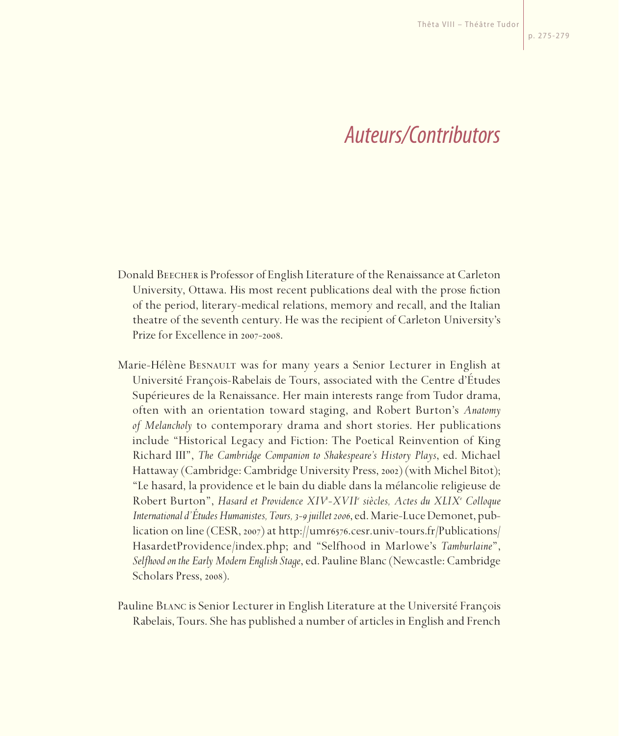## *Auteurs/Contributors*

- Donald Beecher is Professor of English Literature of the Renaissance at Carleton University, Ottawa. His most recent publications deal with the prose fiction of the period, literary-medical relations, memory and recall, and the Italian theatre of the seventh century. He was the recipient of Carleton University's Prize for Excellence in 2007-2008.
- Marie-Hélène BESNAULT was for many years a Senior Lecturer in English at Université François-Rabelais de Tours, associated with the Centre d'Études Supérieures de la Renaissance. Her main interests range from Tudor drama, often with an orientation toward staging, and Robert Burton's *Anatomy of Melancholy* to contemporary drama and short stories. Her publications include "Historical Legacy and Fiction: The Poetical Reinvention of King Richard III", *The Cambridge Companion to Shakespeare's History Plays*, ed. Michael Hattaway (Cambridge: Cambridge University Press, 2002) (with Michel Bitot); "Le hasard, la providence et le bain du diable dans la mélancolie religieuse de Robert Burton", *Hasard et Providence XIVe -XVIIe siècles, Actes du XLIXe Colloque International d'Études Humanistes, Tours, 3-9 juillet 2006*, ed. Marie-Luce Demonet, publication on line (CESR, 2007) at http://umr6576.cesr.univ-tours.fr/Publications/ HasardetProvidence/index.php; and "Selfhood in Marlowe's *Tamburlaine*", *Selfhood on the Early Modern English Stage*, ed. Pauline Blanc (Newcastle: Cambridge Scholars Press, 2008).
- Pauline Blanc is Senior Lecturer in English Literature at the Université François Rabelais, Tours. She has published a number of articles in English and French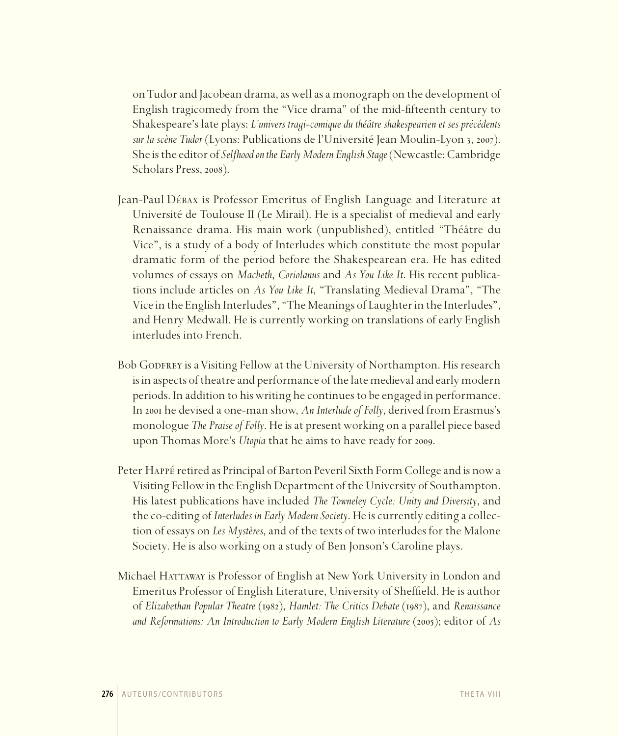on Tudor and Jacobean drama, as well as a monograph on the development of English tragicomedy from the "Vice drama" of the mid-fifteenth century to Shakespeare's late plays: *L'univers tragi-comique du théâtre shakespearien et ses précédents sur la scène Tudor* (Lyons: Publications de l'Université Jean Moulin-Lyon 3, 2007). She is the editor of *Selfhood on the Early Modern English Stage* (Newcastle: Cambridge Scholars Press, 2008).

- Jean-Paul Débax is Professor Emeritus of English Language and Literature at Université de Toulouse II (Le Mirail). He is a specialist of medieval and early Renaissance drama. His main work (unpublished), entitled "Théâtre du Vice", is a study of a body of Interludes which constitute the most popular dramatic form of the period before the Shakespearean era. He has edited volumes of essays on *Macbeth*, *Coriolanus* and *As You Like It*. His recent publications include articles on *As You Like It*, "Translating Medieval Drama", "The Vice in the English Interludes", "The Meanings of Laughter in the Interludes", and Henry Medwall. He is currently working on translations of early English interludes into French.
- Bob GODFREY is a Visiting Fellow at the University of Northampton. His research is in aspects of theatre and performance of the late medieval and early modern periods. In addition to his writing he continues to be engaged in performance. In 2001 he devised a one-man show, *An Interlude of Folly*, derived from Erasmus's monologue *The Praise of Folly*. He is at present working on a parallel piece based upon Thomas More's *Utopia* that he aims to have ready for 2009.
- Peter Happé retired as Principal of Barton Peveril Sixth Form College and is now a Visiting Fellow in the English Department of the University of Southampton. His latest publications have included *The Towneley Cycle: Unity and Diversity*, and the co-editing of *Interludes in Early Modern Society*. He is currently editing a collection of essays on *Les Mystères*, and of the texts of two interludes for the Malone Society. He is also working on a study of Ben Jonson's Caroline plays.
- Michael HATTAWAY is Professor of English at New York University in London and Emeritus Professor of English Literature, University of Sheffield. He is author of *Elizabethan Popular Theatre* (1982), *Hamlet: The Critics Debate* (1987), and *Renaissance and Reformations: An Introduction to Early Modern English Literature* (2005); editor of *As*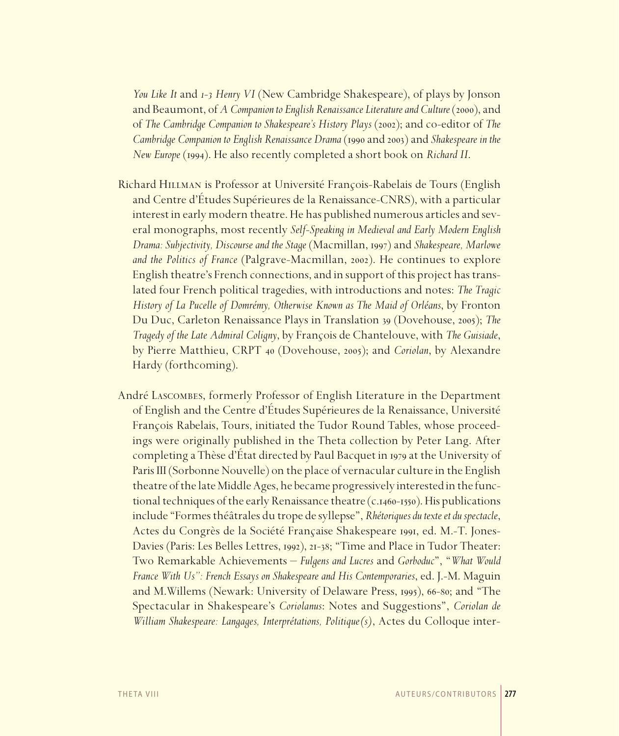*You Like It* and *1-3 Henry VI* (New Cambridge Shakespeare), of plays by Jonson and Beaumont, of *A Companion to English Renaissance Literature and Culture* (2000), and of *The Cambridge Companion to Shakespeare's History Plays* (2002); and co-editor of *The Cambridge Companion to English Renaissance Drama* (1990 and 2003) and *Shakespeare in the New Europe* (1994). He also recently completed a short book on *Richard II*.

- Richard Hillman is Professor at Université François-Rabelais de Tours (English and Centre d'Études Supérieures de la Renaissance-CNRS), with a particular interest in early modern theatre. He has published numerous articles and several monographs, most recently *Self-Speaking in Medieval and Early Modern English Drama: Subjectivity, Discourse and the Stage* (Macmillan, 1997) and *Shakespeare, Marlowe and the Politics of France* (Palgrave-Macmillan, 2002). He continues to explore English theatre's French connections, and in support of this project has translated four French political tragedies, with introductions and notes: *The Tragic History of La Pucelle of Domrémy, Otherwise Known as The Maid of Orléans*, by Fronton Du Duc, Carleton Renaissance Plays in Translation 39 (Dovehouse, 2005); *The Tragedy of the Late Admiral Coligny*, by François de Chantelouve, with *The Guisiade*, by Pierre Matthieu, CRPT 40 (Dovehouse, 2005); and *Coriolan*, by Alexandre Hardy (forthcoming).
- André Lascombes, formerly Professor of English Literature in the Department of English and the Centre d'Études Supérieures de la Renaissance, Université François Rabelais, Tours, initiated the Tudor Round Tables, whose proceedings were originally published in the Theta collection by Peter Lang. After completing a Thèse d'État directed by Paul Bacquet in 1979 at the University of Paris III (Sorbonne Nouvelle) on the place of vernacular culture in the English theatre of the late Middle Ages, he became progressively interested in the functional techniques of the early Renaissance theatre (c.1460-1550). His publications include "Formes théâtrales du trope de syllepse", *Rhétoriques du texte et du spectacle*, Actes du Congrès de la Société Française Shakespeare 1991, ed. M.-T. Jones-Davies (Paris: Les Belles Lettres, 1992), 21-38; "Time and Place in Tudor Theater: Two Remarkable Achievements – *Fulgens and Lucres* and *Gorboduc*", "*What Would France With Us": French Essays on Shakespeare and His Contemporaries*, ed. J.-M. Maguin and M.Willems (Newark: University of Delaware Press, 1995), 66-80; and "The Spectacular in Shakespeare's *Coriolanus*: Notes and Suggestions", *Coriolan de William Shakespeare: Langages, Interprétations, Politique(s)*, Actes du Colloque inter-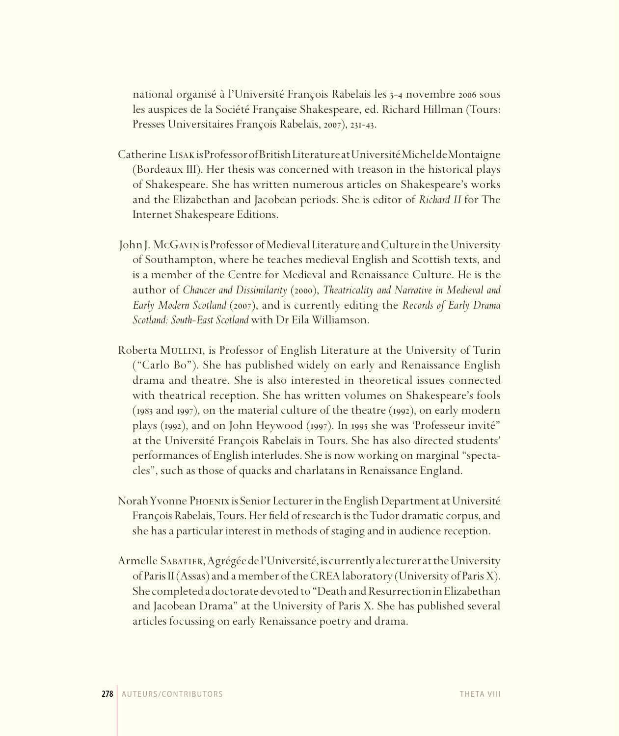national organisé à l'Université François Rabelais les 3-4 novembre 2006 sous les auspices de la Société Française Shakespeare, ed. Richard Hillman (Tours: Presses Universitaires François Rabelais, 2007), 231-43.

- Catherine Lisak is Professor of British Literature at Université Michel de Montaigne (Bordeaux III). Her thesis was concerned with treason in the historical plays of Shakespeare. She has written numerous articles on Shakespeare's works and the Elizabethan and Jacobean periods. She is editor of *Richard II* for The Internet Shakespeare Editions.
- John J. McGavin is Professor of Medieval Literature and Culture in the University of Southampton, where he teaches medieval English and Scottish texts, and is a member of the Centre for Medieval and Renaissance Culture. He is the author of *Chaucer and Dissimilarity* (2000), *Theatricality and Narrative in Medieval and Early Modern Scotland* (2007), and is currently editing the *Records of Early Drama Scotland: South-East Scotland* with Dr Eila Williamson.
- Roberta Mullini, is Professor of English Literature at the University of Turin ("Carlo Bo"). She has published widely on early and Renaissance English drama and theatre. She is also interested in theoretical issues connected with theatrical reception. She has written volumes on Shakespeare's fools (1983 and 1997), on the material culture of the theatre (1992), on early modern plays (1992), and on John Heywood (1997). In 1995 she was 'Professeur invité" at the Université François Rabelais in Tours. She has also directed students' performances of English interludes. She is now working on marginal "spectacles", such as those of quacks and charlatans in Renaissance England.
- Norah Yvonne Phoenix is Senior Lecturer in the English Department at Université François Rabelais, Tours. Her field of research is the Tudor dramatic corpus, and she has a particular interest in methods of staging and in audience reception.
- Armelle Sabatier, Agrégée de l'Université, is currently a lecturer at the University of Paris II (Assas) and a member of the CREA laboratory (University of Paris X). She completed a doctorate devoted to "Death and Resurrection in Elizabethan and Jacobean Drama" at the University of Paris X. She has published several articles focussing on early Renaissance poetry and drama.